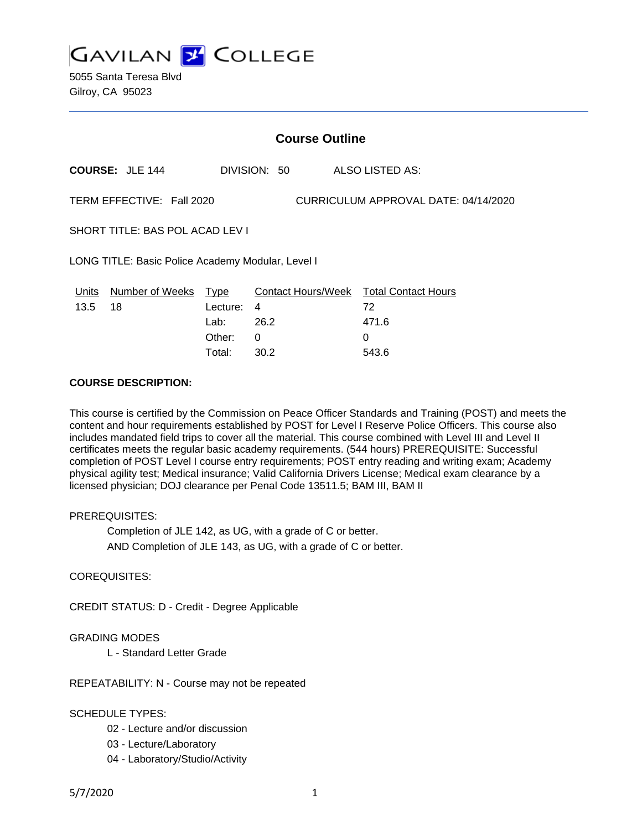**GAVILAN Z COLLEGE** 

5055 Santa Teresa Blvd Gilroy, CA 95023

| <b>Course Outline</b>                             |   |                                                                 |                           |                                        |
|---------------------------------------------------|---|-----------------------------------------------------------------|---------------------------|----------------------------------------|
| <b>COURSE: JLE 144</b>                            |   |                                                                 |                           | ALSO LISTED AS:                        |
|                                                   |   |                                                                 |                           | CURRICULUM APPROVAL DATE: 04/14/2020   |
| SHORT TITLE: BAS POL ACAD LEV I                   |   |                                                                 |                           |                                        |
| LONG TITLE: Basic Police Academy Modular, Level I |   |                                                                 |                           |                                        |
| Number of Weeks                                   | 0 |                                                                 |                           | 72<br>471.6<br>0                       |
|                                                   |   | TERM EFFECTIVE: Fall 2020<br>Type<br>Lecture:<br>Lab:<br>Other: | DIVISION: 50<br>4<br>26.2 | Contact Hours/Week Total Contact Hours |

Total: 30.2 543.6

#### **COURSE DESCRIPTION:**

This course is certified by the Commission on Peace Officer Standards and Training (POST) and meets the content and hour requirements established by POST for Level I Reserve Police Officers. This course also includes mandated field trips to cover all the material. This course combined with Level III and Level II certificates meets the regular basic academy requirements. (544 hours) PREREQUISITE: Successful completion of POST Level I course entry requirements; POST entry reading and writing exam; Academy physical agility test; Medical insurance; Valid California Drivers License; Medical exam clearance by a licensed physician; DOJ clearance per Penal Code 13511.5; BAM III, BAM II

#### PREREQUISITES:

Completion of JLE 142, as UG, with a grade of C or better. AND Completion of JLE 143, as UG, with a grade of C or better.

COREQUISITES:

CREDIT STATUS: D - Credit - Degree Applicable

#### GRADING MODES

L - Standard Letter Grade

REPEATABILITY: N - Course may not be repeated

#### SCHEDULE TYPES:

- 02 Lecture and/or discussion
- 03 Lecture/Laboratory
- 04 Laboratory/Studio/Activity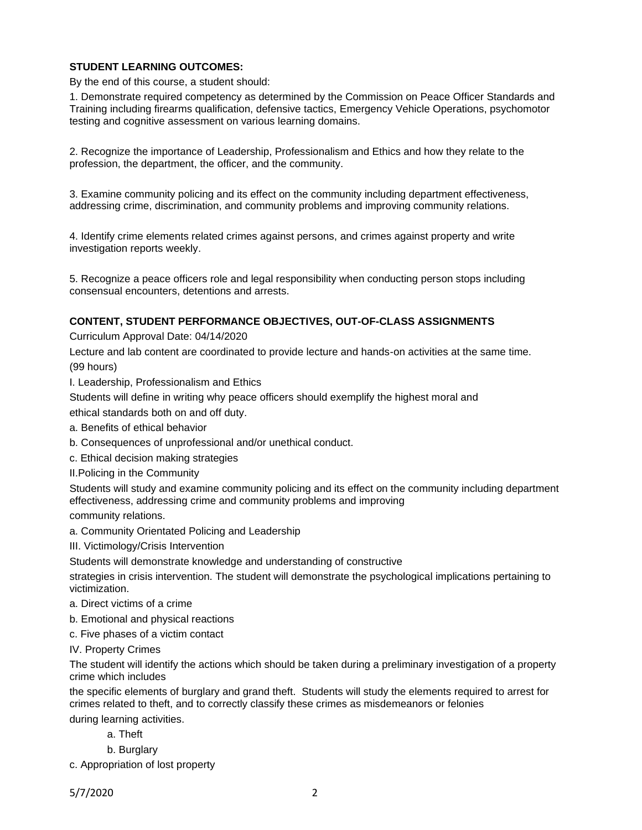## **STUDENT LEARNING OUTCOMES:**

By the end of this course, a student should:

1. Demonstrate required competency as determined by the Commission on Peace Officer Standards and Training including firearms qualification, defensive tactics, Emergency Vehicle Operations, psychomotor testing and cognitive assessment on various learning domains.

2. Recognize the importance of Leadership, Professionalism and Ethics and how they relate to the profession, the department, the officer, and the community.

3. Examine community policing and its effect on the community including department effectiveness, addressing crime, discrimination, and community problems and improving community relations.

4. Identify crime elements related crimes against persons, and crimes against property and write investigation reports weekly.

5. Recognize a peace officers role and legal responsibility when conducting person stops including consensual encounters, detentions and arrests.

### **CONTENT, STUDENT PERFORMANCE OBJECTIVES, OUT-OF-CLASS ASSIGNMENTS**

Curriculum Approval Date: 04/14/2020

Lecture and lab content are coordinated to provide lecture and hands-on activities at the same time. (99 hours)

I. Leadership, Professionalism and Ethics

Students will define in writing why peace officers should exemplify the highest moral and

ethical standards both on and off duty.

a. Benefits of ethical behavior

b. Consequences of unprofessional and/or unethical conduct.

c. Ethical decision making strategies

II.Policing in the Community

Students will study and examine community policing and its effect on the community including department effectiveness, addressing crime and community problems and improving

community relations.

a. Community Orientated Policing and Leadership

III. Victimology/Crisis Intervention

Students will demonstrate knowledge and understanding of constructive

strategies in crisis intervention. The student will demonstrate the psychological implications pertaining to victimization.

- a. Direct victims of a crime
- b. Emotional and physical reactions

c. Five phases of a victim contact

IV. Property Crimes

The student will identify the actions which should be taken during a preliminary investigation of a property crime which includes

the specific elements of burglary and grand theft. Students will study the elements required to arrest for crimes related to theft, and to correctly classify these crimes as misdemeanors or felonies during learning activities.

a. Theft

b. Burglary

c. Appropriation of lost property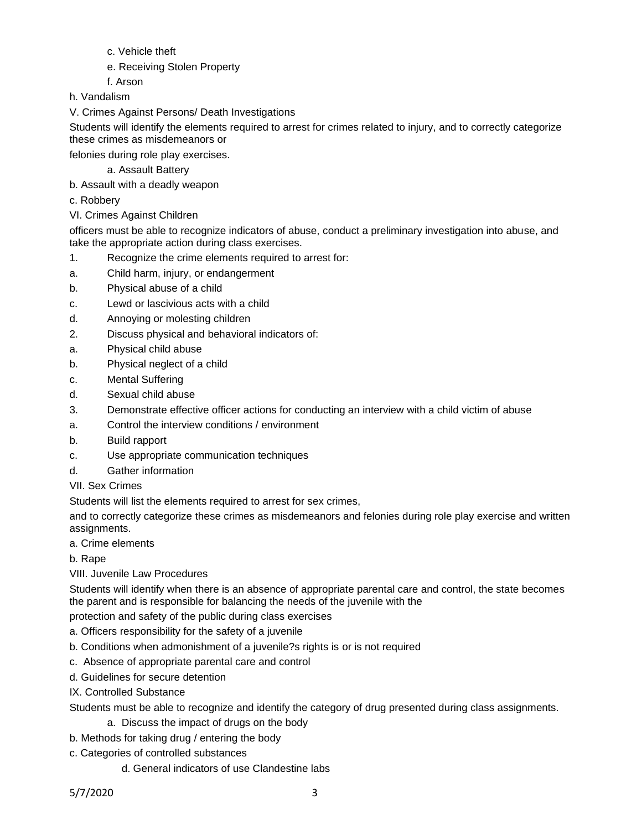- c. Vehicle theft
- e. Receiving Stolen Property
- f. Arson
- h. Vandalism
- V. Crimes Against Persons/ Death Investigations

Students will identify the elements required to arrest for crimes related to injury, and to correctly categorize these crimes as misdemeanors or

felonies during role play exercises.

a. Assault Battery

- b. Assault with a deadly weapon
- c. Robbery
- VI. Crimes Against Children

officers must be able to recognize indicators of abuse, conduct a preliminary investigation into abuse, and take the appropriate action during class exercises.

- 1. Recognize the crime elements required to arrest for:
- a. Child harm, injury, or endangerment
- b. Physical abuse of a child
- c. Lewd or lascivious acts with a child
- d. Annoying or molesting children
- 2. Discuss physical and behavioral indicators of:
- a. Physical child abuse
- b. Physical neglect of a child
- c. Mental Suffering
- d. Sexual child abuse
- 3. Demonstrate effective officer actions for conducting an interview with a child victim of abuse
- a. Control the interview conditions / environment
- b. Build rapport
- c. Use appropriate communication techniques
- d. Gather information
- VII. Sex Crimes

Students will list the elements required to arrest for sex crimes,

and to correctly categorize these crimes as misdemeanors and felonies during role play exercise and written assignments.

- a. Crime elements
- b. Rape

# VIII. Juvenile Law Procedures

Students will identify when there is an absence of appropriate parental care and control, the state becomes the parent and is responsible for balancing the needs of the juvenile with the

protection and safety of the public during class exercises

- a. Officers responsibility for the safety of a juvenile
- b. Conditions when admonishment of a juvenile?s rights is or is not required
- c. Absence of appropriate parental care and control
- d. Guidelines for secure detention
- IX. Controlled Substance
- Students must be able to recognize and identify the category of drug presented during class assignments.
	- a. Discuss the impact of drugs on the body
- b. Methods for taking drug / entering the body
- c. Categories of controlled substances
	- d. General indicators of use Clandestine labs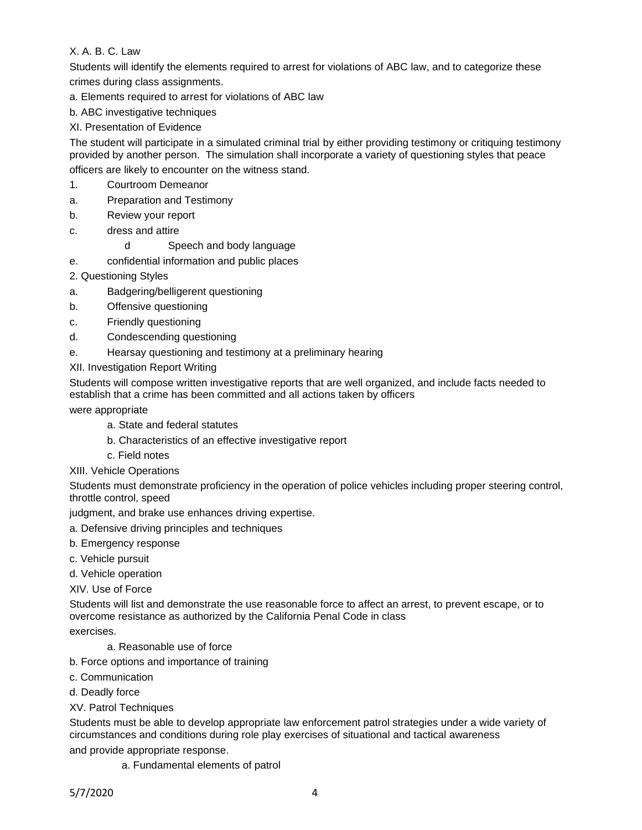X. A. B. C. Law

Students will identify the elements required to arrest for violations of ABC law, and to categorize these crimes during class assignments.

a. Elements required to arrest for violations of ABC law

b. ABC investigative techniques

# XI. Presentation of Evidence

The student will participate in a simulated criminal trial by either providing testimony or critiquing testimony provided by another person. The simulation shall incorporate a variety of questioning styles that peace

officers are likely to encounter on the witness stand.

- 1. Courtroom Demeanor
- a. Preparation and Testimony
- b. Review your report
- c. dress and attire
	- d Speech and body language
- e. confidential information and public places
- 2. Questioning Styles
- a. Badgering/belligerent questioning
- b. Offensive questioning
- c. Friendly questioning
- d. Condescending questioning
- e. Hearsay questioning and testimony at a preliminary hearing
- XII. Investigation Report Writing

Students will compose written investigative reports that are well organized, and include facts needed to establish that a crime has been committed and all actions taken by officers

were appropriate

- a. State and federal statutes
- b. Characteristics of an effective investigative report
- c. Field notes
- XIII. Vehicle Operations

Students must demonstrate proficiency in the operation of police vehicles including proper steering control, throttle control, speed

judgment, and brake use enhances driving expertise.

- a. Defensive driving principles and techniques
- b. Emergency response
- c. Vehicle pursuit
- d. Vehicle operation

XIV. Use of Force

Students will list and demonstrate the use reasonable force to affect an arrest, to prevent escape, or to overcome resistance as authorized by the California Penal Code in class

exercises.

- a. Reasonable use of force
- b. Force options and importance of training
- c. Communication
- d. Deadly force

## XV. Patrol Techniques

Students must be able to develop appropriate law enforcement patrol strategies under a wide variety of circumstances and conditions during role play exercises of situational and tactical awareness

and provide appropriate response.

a. Fundamental elements of patrol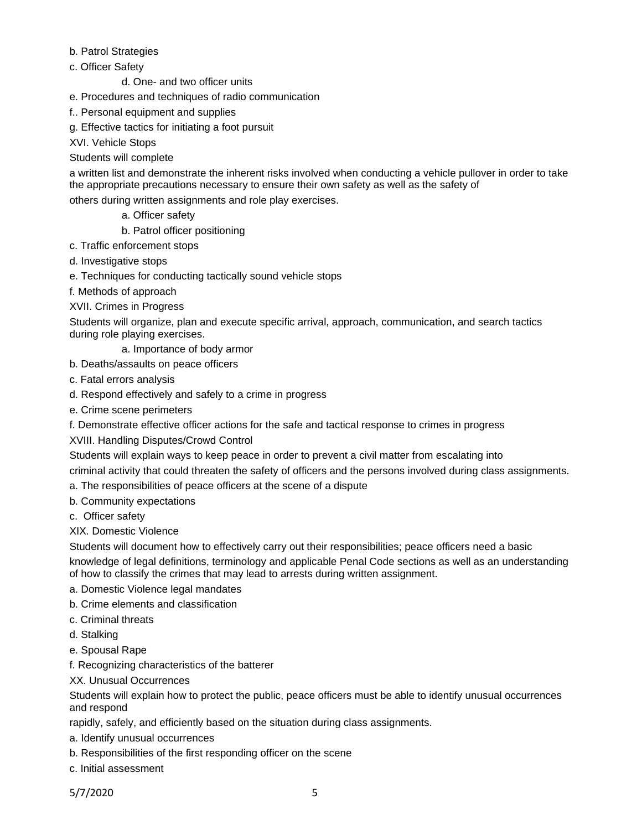## b. Patrol Strategies

- c. Officer Safety
	- d. One- and two officer units
- e. Procedures and techniques of radio communication
- f.. Personal equipment and supplies
- g. Effective tactics for initiating a foot pursuit

XVI. Vehicle Stops

## Students will complete

a written list and demonstrate the inherent risks involved when conducting a vehicle pullover in order to take the appropriate precautions necessary to ensure their own safety as well as the safety of

others during written assignments and role play exercises.

- a. Officer safety
- b. Patrol officer positioning
- c. Traffic enforcement stops
- d. Investigative stops
- e. Techniques for conducting tactically sound vehicle stops
- f. Methods of approach

XVII. Crimes in Progress

Students will organize, plan and execute specific arrival, approach, communication, and search tactics during role playing exercises.

a. Importance of body armor

- b. Deaths/assaults on peace officers
- c. Fatal errors analysis
- d. Respond effectively and safely to a crime in progress
- e. Crime scene perimeters
- f. Demonstrate effective officer actions for the safe and tactical response to crimes in progress
- XVIII. Handling Disputes/Crowd Control

Students will explain ways to keep peace in order to prevent a civil matter from escalating into criminal activity that could threaten the safety of officers and the persons involved during class assignments.

- a. The responsibilities of peace officers at the scene of a dispute
- b. Community expectations
- c. Officer safety
- XIX. Domestic Violence

Students will document how to effectively carry out their responsibilities; peace officers need a basic

knowledge of legal definitions, terminology and applicable Penal Code sections as well as an understanding of how to classify the crimes that may lead to arrests during written assignment.

- a. Domestic Violence legal mandates
- b. Crime elements and classification
- c. Criminal threats
- d. Stalking
- e. Spousal Rape
- f. Recognizing characteristics of the batterer
- XX. Unusual Occurrences

Students will explain how to protect the public, peace officers must be able to identify unusual occurrences and respond

rapidly, safely, and efficiently based on the situation during class assignments.

- a. Identify unusual occurrences
- b. Responsibilities of the first responding officer on the scene
- c. Initial assessment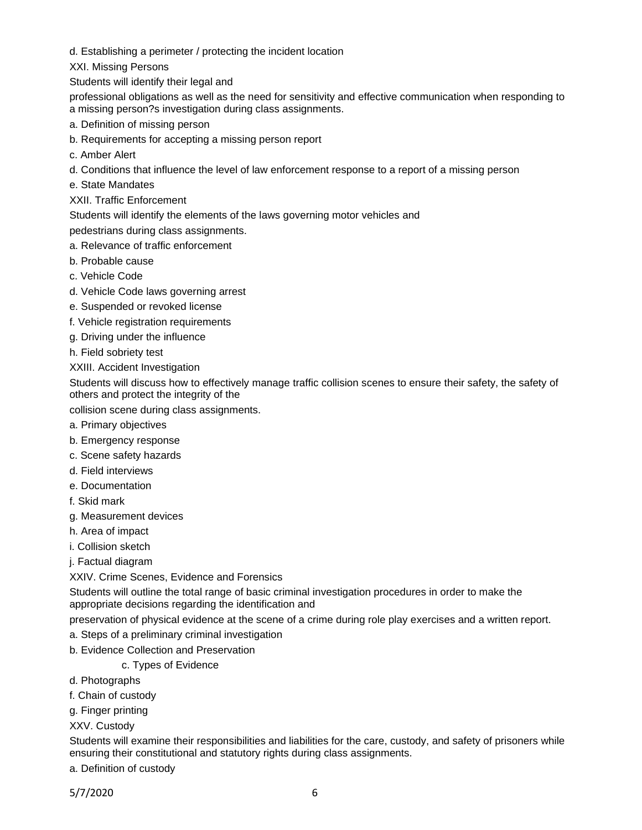d. Establishing a perimeter / protecting the incident location

XXI. Missing Persons

Students will identify their legal and

professional obligations as well as the need for sensitivity and effective communication when responding to a missing person?s investigation during class assignments.

- a. Definition of missing person
- b. Requirements for accepting a missing person report
- c. Amber Alert
- d. Conditions that influence the level of law enforcement response to a report of a missing person
- e. State Mandates
- XXII. Traffic Enforcement

Students will identify the elements of the laws governing motor vehicles and

pedestrians during class assignments.

- a. Relevance of traffic enforcement
- b. Probable cause
- c. Vehicle Code
- d. Vehicle Code laws governing arrest
- e. Suspended or revoked license
- f. Vehicle registration requirements
- g. Driving under the influence
- h. Field sobriety test

XXIII. Accident Investigation

Students will discuss how to effectively manage traffic collision scenes to ensure their safety, the safety of others and protect the integrity of the

collision scene during class assignments.

- a. Primary objectives
- b. Emergency response
- c. Scene safety hazards
- d. Field interviews
- e. Documentation
- f. Skid mark
- g. Measurement devices
- h. Area of impact
- i. Collision sketch
- j. Factual diagram

XXIV. Crime Scenes, Evidence and Forensics

Students will outline the total range of basic criminal investigation procedures in order to make the appropriate decisions regarding the identification and

- preservation of physical evidence at the scene of a crime during role play exercises and a written report.
- a. Steps of a preliminary criminal investigation
- b. Evidence Collection and Preservation

c. Types of Evidence

- d. Photographs
- f. Chain of custody
- g. Finger printing
- XXV. Custody

Students will examine their responsibilities and liabilities for the care, custody, and safety of prisoners while ensuring their constitutional and statutory rights during class assignments.

a. Definition of custody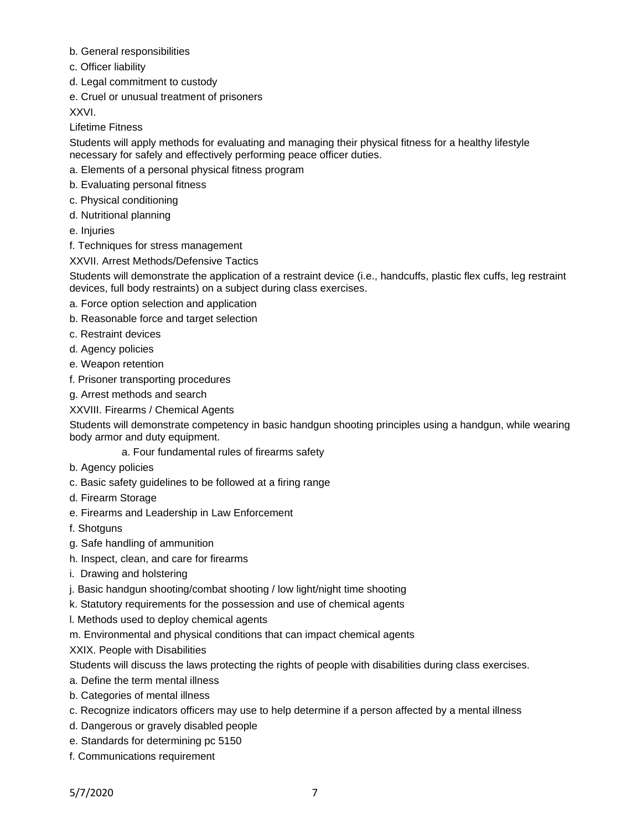- b. General responsibilities
- c. Officer liability
- d. Legal commitment to custody
- e. Cruel or unusual treatment of prisoners

XXVI.

Lifetime Fitness

Students will apply methods for evaluating and managing their physical fitness for a healthy lifestyle necessary for safely and effectively performing peace officer duties.

- a. Elements of a personal physical fitness program
- b. Evaluating personal fitness
- c. Physical conditioning
- d. Nutritional planning
- e. Injuries
- f. Techniques for stress management
- XXVII. Arrest Methods/Defensive Tactics

Students will demonstrate the application of a restraint device (i.e., handcuffs, plastic flex cuffs, leg restraint devices, full body restraints) on a subject during class exercises.

- a. Force option selection and application
- b. Reasonable force and target selection
- c. Restraint devices
- d. Agency policies
- e. Weapon retention
- f. Prisoner transporting procedures
- g. Arrest methods and search

## XXVIII. Firearms / Chemical Agents

Students will demonstrate competency in basic handgun shooting principles using a handgun, while wearing body armor and duty equipment.

a. Four fundamental rules of firearms safety

- b. Agency policies
- c. Basic safety guidelines to be followed at a firing range
- d. Firearm Storage
- e. Firearms and Leadership in Law Enforcement
- f. Shotguns
- g. Safe handling of ammunition
- h. Inspect, clean, and care for firearms
- i. Drawing and holstering
- j. Basic handgun shooting/combat shooting / low light/night time shooting
- k. Statutory requirements for the possession and use of chemical agents
- l. Methods used to deploy chemical agents
- m. Environmental and physical conditions that can impact chemical agents
- XXIX. People with Disabilities

Students will discuss the laws protecting the rights of people with disabilities during class exercises.

- a. Define the term mental illness
- b. Categories of mental illness
- c. Recognize indicators officers may use to help determine if a person affected by a mental illness
- d. Dangerous or gravely disabled people
- e. Standards for determining pc 5150
- f. Communications requirement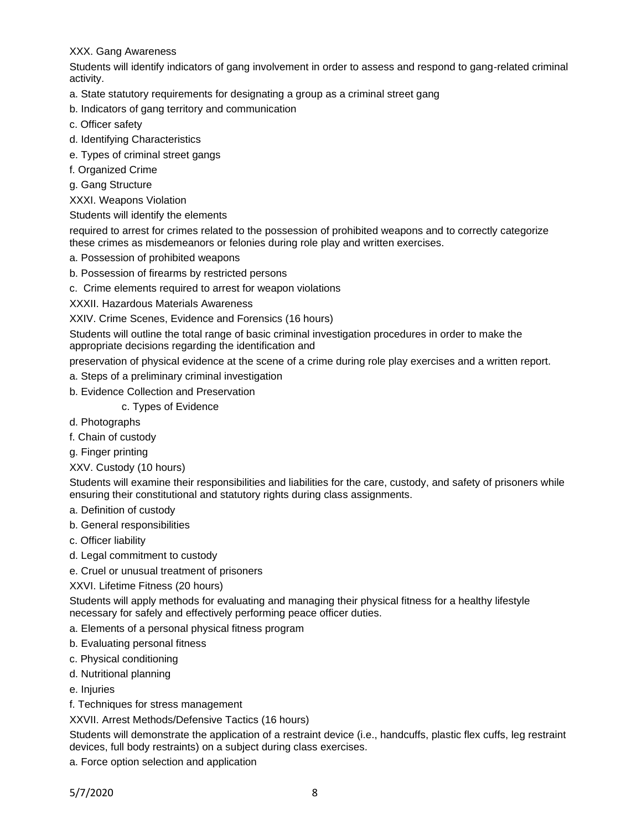## XXX. Gang Awareness

Students will identify indicators of gang involvement in order to assess and respond to gang-related criminal activity.

- a. State statutory requirements for designating a group as a criminal street gang
- b. Indicators of gang territory and communication
- c. Officer safety
- d. Identifying Characteristics
- e. Types of criminal street gangs
- f. Organized Crime
- g. Gang Structure

XXXI. Weapons Violation

Students will identify the elements

required to arrest for crimes related to the possession of prohibited weapons and to correctly categorize these crimes as misdemeanors or felonies during role play and written exercises.

- a. Possession of prohibited weapons
- b. Possession of firearms by restricted persons
- c. Crime elements required to arrest for weapon violations

XXXII. Hazardous Materials Awareness

XXIV. Crime Scenes, Evidence and Forensics (16 hours)

Students will outline the total range of basic criminal investigation procedures in order to make the appropriate decisions regarding the identification and

preservation of physical evidence at the scene of a crime during role play exercises and a written report.

- a. Steps of a preliminary criminal investigation
- b. Evidence Collection and Preservation

c. Types of Evidence

- d. Photographs
- f. Chain of custody
- g. Finger printing
- XXV. Custody (10 hours)

Students will examine their responsibilities and liabilities for the care, custody, and safety of prisoners while ensuring their constitutional and statutory rights during class assignments.

- a. Definition of custody
- b. General responsibilities
- c. Officer liability
- d. Legal commitment to custody
- e. Cruel or unusual treatment of prisoners

### XXVI. Lifetime Fitness (20 hours)

Students will apply methods for evaluating and managing their physical fitness for a healthy lifestyle necessary for safely and effectively performing peace officer duties.

- a. Elements of a personal physical fitness program
- b. Evaluating personal fitness
- c. Physical conditioning
- d. Nutritional planning
- e. Injuries
- f. Techniques for stress management

XXVII. Arrest Methods/Defensive Tactics (16 hours)

Students will demonstrate the application of a restraint device (i.e., handcuffs, plastic flex cuffs, leg restraint devices, full body restraints) on a subject during class exercises.

a. Force option selection and application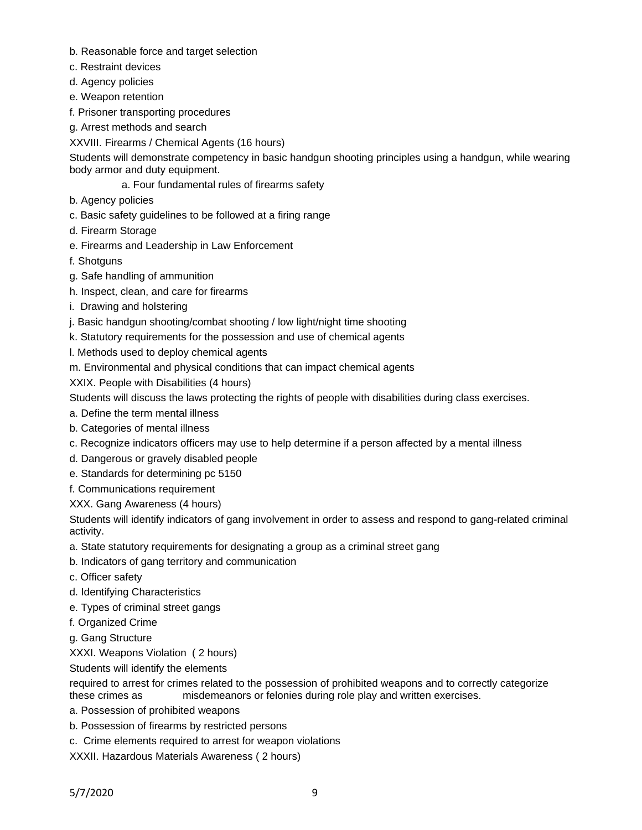- b. Reasonable force and target selection
- c. Restraint devices
- d. Agency policies
- e. Weapon retention
- f. Prisoner transporting procedures
- g. Arrest methods and search
- XXVIII. Firearms / Chemical Agents (16 hours)

Students will demonstrate competency in basic handgun shooting principles using a handgun, while wearing body armor and duty equipment.

- a. Four fundamental rules of firearms safety
- b. Agency policies
- c. Basic safety guidelines to be followed at a firing range
- d. Firearm Storage
- e. Firearms and Leadership in Law Enforcement
- f. Shotguns
- g. Safe handling of ammunition
- h. Inspect, clean, and care for firearms
- i. Drawing and holstering
- j. Basic handgun shooting/combat shooting / low light/night time shooting
- k. Statutory requirements for the possession and use of chemical agents
- l. Methods used to deploy chemical agents
- m. Environmental and physical conditions that can impact chemical agents

XXIX. People with Disabilities (4 hours)

Students will discuss the laws protecting the rights of people with disabilities during class exercises.

- a. Define the term mental illness
- b. Categories of mental illness
- c. Recognize indicators officers may use to help determine if a person affected by a mental illness
- d. Dangerous or gravely disabled people
- e. Standards for determining pc 5150
- f. Communications requirement
- XXX. Gang Awareness (4 hours)

Students will identify indicators of gang involvement in order to assess and respond to gang-related criminal activity.

- a. State statutory requirements for designating a group as a criminal street gang
- b. Indicators of gang territory and communication
- c. Officer safety
- d. Identifying Characteristics
- e. Types of criminal street gangs
- f. Organized Crime
- g. Gang Structure

XXXI. Weapons Violation ( 2 hours)

Students will identify the elements

required to arrest for crimes related to the possession of prohibited weapons and to correctly categorize these crimes as misdemeanors or felonies during role play and written exercises.

- a. Possession of prohibited weapons
- b. Possession of firearms by restricted persons
- c. Crime elements required to arrest for weapon violations
- XXXII. Hazardous Materials Awareness ( 2 hours)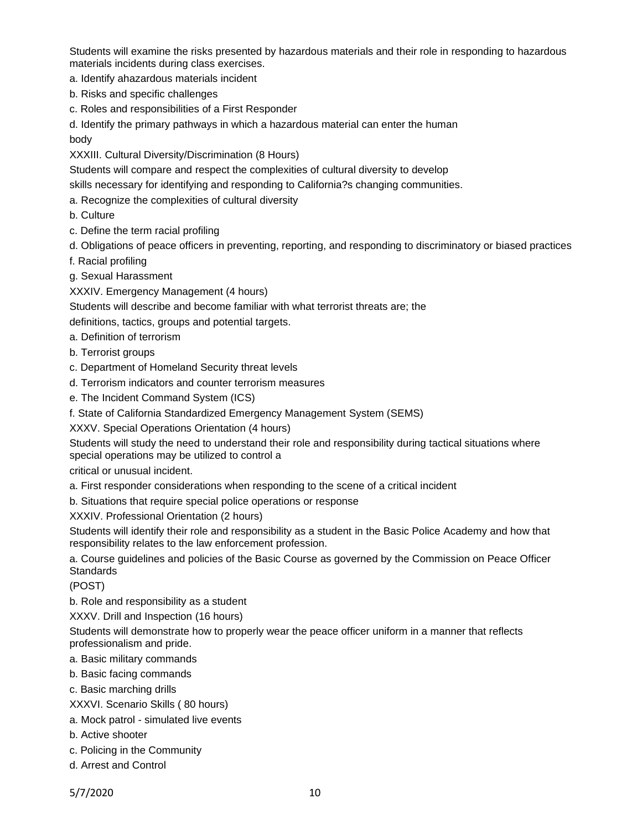Students will examine the risks presented by hazardous materials and their role in responding to hazardous materials incidents during class exercises.

a. Identify ahazardous materials incident

- b. Risks and specific challenges
- c. Roles and responsibilities of a First Responder

d. Identify the primary pathways in which a hazardous material can enter the human body

XXXIII. Cultural Diversity/Discrimination (8 Hours)

Students will compare and respect the complexities of cultural diversity to develop

skills necessary for identifying and responding to California?s changing communities.

a. Recognize the complexities of cultural diversity

b. Culture

- c. Define the term racial profiling
- d. Obligations of peace officers in preventing, reporting, and responding to discriminatory or biased practices
- f. Racial profiling
- g. Sexual Harassment

XXXIV. Emergency Management (4 hours)

Students will describe and become familiar with what terrorist threats are; the

definitions, tactics, groups and potential targets.

- a. Definition of terrorism
- b. Terrorist groups
- c. Department of Homeland Security threat levels
- d. Terrorism indicators and counter terrorism measures
- e. The Incident Command System (ICS)
- f. State of California Standardized Emergency Management System (SEMS)

XXXV. Special Operations Orientation (4 hours)

Students will study the need to understand their role and responsibility during tactical situations where special operations may be utilized to control a

critical or unusual incident.

a. First responder considerations when responding to the scene of a critical incident

b. Situations that require special police operations or response

XXXIV. Professional Orientation (2 hours)

Students will identify their role and responsibility as a student in the Basic Police Academy and how that responsibility relates to the law enforcement profession.

a. Course guidelines and policies of the Basic Course as governed by the Commission on Peace Officer **Standards** 

(POST)

b. Role and responsibility as a student

XXXV. Drill and Inspection (16 hours)

Students will demonstrate how to properly wear the peace officer uniform in a manner that reflects professionalism and pride.

- a. Basic military commands
- b. Basic facing commands
- c. Basic marching drills
- XXXVI. Scenario Skills ( 80 hours)
- a. Mock patrol simulated live events
- b. Active shooter
- c. Policing in the Community
- d. Arrest and Control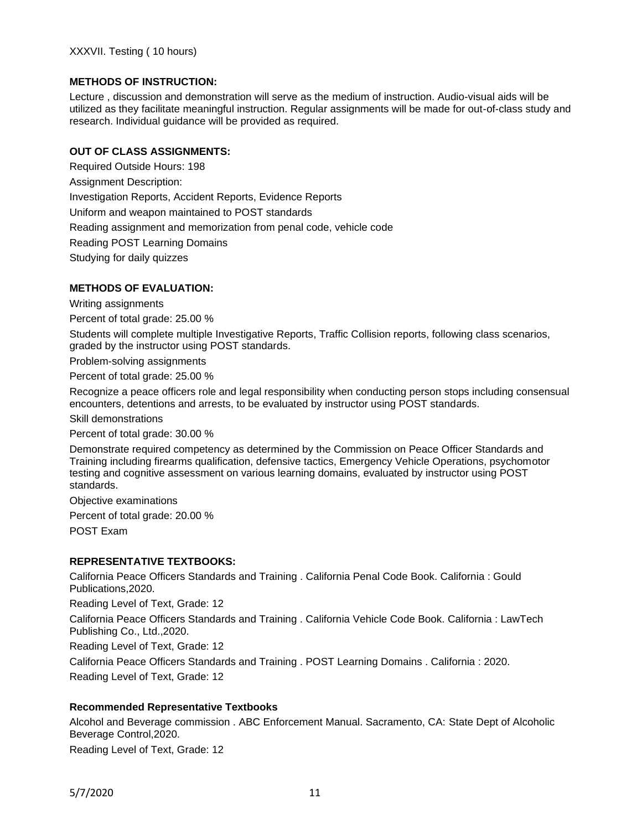### **METHODS OF INSTRUCTION:**

Lecture , discussion and demonstration will serve as the medium of instruction. Audio-visual aids will be utilized as they facilitate meaningful instruction. Regular assignments will be made for out-of-class study and research. Individual guidance will be provided as required.

#### **OUT OF CLASS ASSIGNMENTS:**

Required Outside Hours: 198 Assignment Description: Investigation Reports, Accident Reports, Evidence Reports Uniform and weapon maintained to POST standards Reading assignment and memorization from penal code, vehicle code Reading POST Learning Domains Studying for daily quizzes

#### **METHODS OF EVALUATION:**

Writing assignments

Percent of total grade: 25.00 %

Students will complete multiple Investigative Reports, Traffic Collision reports, following class scenarios, graded by the instructor using POST standards.

Problem-solving assignments

Percent of total grade: 25.00 %

Recognize a peace officers role and legal responsibility when conducting person stops including consensual encounters, detentions and arrests, to be evaluated by instructor using POST standards.

Skill demonstrations

Percent of total grade: 30.00 %

Demonstrate required competency as determined by the Commission on Peace Officer Standards and Training including firearms qualification, defensive tactics, Emergency Vehicle Operations, psychomotor testing and cognitive assessment on various learning domains, evaluated by instructor using POST standards.

Objective examinations Percent of total grade: 20.00 % POST Exam

#### **REPRESENTATIVE TEXTBOOKS:**

California Peace Officers Standards and Training . California Penal Code Book. California : Gould Publications,2020.

Reading Level of Text, Grade: 12

California Peace Officers Standards and Training . California Vehicle Code Book. California : LawTech Publishing Co., Ltd.,2020.

Reading Level of Text, Grade: 12

California Peace Officers Standards and Training . POST Learning Domains . California : 2020. Reading Level of Text, Grade: 12

#### **Recommended Representative Textbooks**

Alcohol and Beverage commission . ABC Enforcement Manual. Sacramento, CA: State Dept of Alcoholic Beverage Control,2020.

Reading Level of Text, Grade: 12